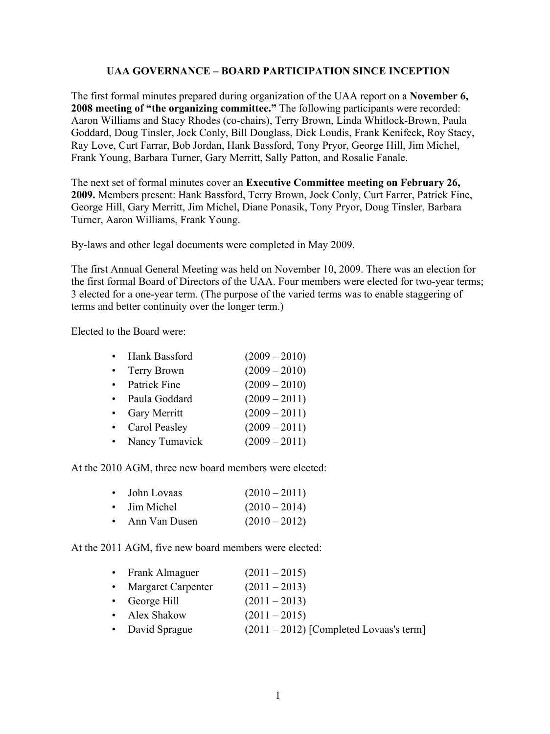## **UAA GOVERNANCE – BOARD PARTICIPATION SINCE INCEPTION**

The first formal minutes prepared during organization of the UAA report on a **November 6, 2008 meeting of "the organizing committee."** The following participants were recorded: Aaron Williams and Stacy Rhodes (co-chairs), Terry Brown, Linda Whitlock-Brown, Paula Goddard, Doug Tinsler, Jock Conly, Bill Douglass, Dick Loudis, Frank Kenifeck, Roy Stacy, Ray Love, Curt Farrar, Bob Jordan, Hank Bassford, Tony Pryor, George Hill, Jim Michel, Frank Young, Barbara Turner, Gary Merritt, Sally Patton, and Rosalie Fanale.

The next set of formal minutes cover an **Executive Committee meeting on February 26, 2009.** Members present: Hank Bassford, Terry Brown, Jock Conly, Curt Farrer, Patrick Fine, George Hill, Gary Merritt, Jim Michel, Diane Ponasik, Tony Pryor, Doug Tinsler, Barbara Turner, Aaron Williams, Frank Young.

By-laws and other legal documents were completed in May 2009.

The first Annual General Meeting was held on November 10, 2009. There was an election for the first formal Board of Directors of the UAA. Four members were elected for two-year terms; 3 elected for a one-year term. (The purpose of the varied terms was to enable staggering of terms and better continuity over the longer term.)

Elected to the Board were:

| Hank Bassford  | $(2009 - 2010)$ |
|----------------|-----------------|
| Terry Brown    | $(2009 - 2010)$ |
| Patrick Fine   | $(2009 - 2010)$ |
| Paula Goddard  | $(2009 - 2011)$ |
| Gary Merritt   | $(2009 - 2011)$ |
| Carol Peasley  | $(2009 - 2011)$ |
| Nancy Tumavick | $(2009 - 2011)$ |

At the 2010 AGM, three new board members were elected:

|           | • John Lovaas | $(2010 - 2011)$ |
|-----------|---------------|-----------------|
|           | • Jim Michel  | $(2010 - 2014)$ |
| $\bullet$ | Ann Van Dusen | $(2010 - 2012)$ |

At the 2011 AGM, five new board members were elected:

| • Frank Almaguer      | $(2011 - 2015)$                           |
|-----------------------|-------------------------------------------|
| • Margaret Carpenter  | $(2011 - 2013)$                           |
| $\bullet$ George Hill | $(2011 - 2013)$                           |
| • Alex Shakow         | $(2011 - 2015)$                           |
| • David Sprague       | $(2011 – 2012)$ [Completed Lovaas's term] |
|                       |                                           |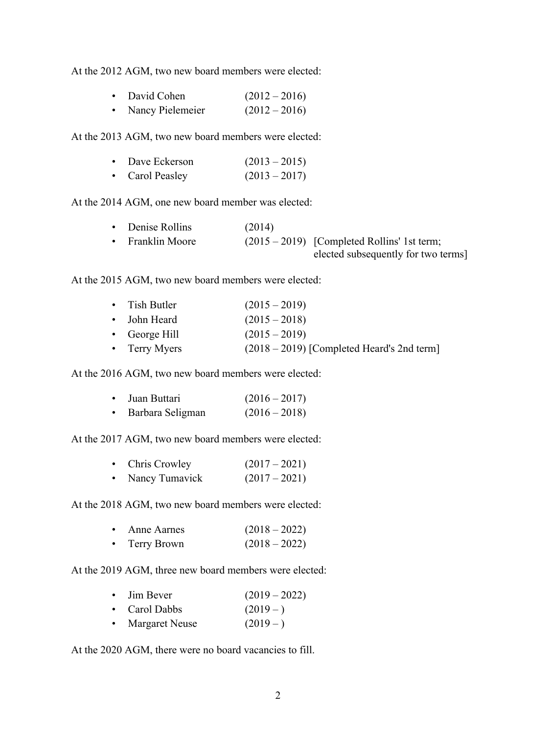At the 2012 AGM, two new board members were elected:

| $\bullet$ | David Cohen        | $(2012 - 2016)$ |
|-----------|--------------------|-----------------|
|           | • Nancy Pielemeier | $(2012 - 2016)$ |

At the 2013 AGM, two new board members were elected:

| $\bullet$ | Dave Eckerson   | $(2013 - 2015)$ |
|-----------|-----------------|-----------------|
|           | • Carol Peasley | $(2013 - 2017)$ |

At the 2014 AGM, one new board member was elected:

|           | • Denise Rollins      | (2014) |                                               |
|-----------|-----------------------|--------|-----------------------------------------------|
| $\bullet$ | <b>Franklin Moore</b> |        | $(2015 - 2019)$ [Completed Rollins' 1st term; |
|           |                       |        | elected subsequently for two terms            |

At the 2015 AGM, two new board members were elected:

| $\bullet$ Tish Butler | $(2015 - 2019)$                              |
|-----------------------|----------------------------------------------|
| • John Heard          | $(2015 - 2018)$                              |
| $\bullet$ George Hill | $(2015 - 2019)$                              |
| • Terry Myers         | $(2018 – 2019)$ [Completed Heard's 2nd term] |

At the 2016 AGM, two new board members were elected:

| $\bullet$ | Juan Buttari     | $(2016 - 2017)$ |
|-----------|------------------|-----------------|
| $\bullet$ | Barbara Seligman | $(2016 - 2018)$ |

At the 2017 AGM, two new board members were elected:

|           | • Chris Crowley | $(2017-2021)$ |
|-----------|-----------------|---------------|
| $\bullet$ | Nancy Tumavick  | $(2017-2021)$ |

At the 2018 AGM, two new board members were elected:

|           | • Anne Aarnes | $(2018 - 2022)$ |
|-----------|---------------|-----------------|
| $\bullet$ | Terry Brown   | $(2018 - 2022)$ |

At the 2019 AGM, three new board members were elected:

| $\bullet$ Jim Bever | $(2019 - 2022)$ |
|---------------------|-----------------|
| • Carol Dabbs       | $(2019-)$       |

• Margaret Neuse  $(2019 - )$ 

At the 2020 AGM, there were no board vacancies to fill.